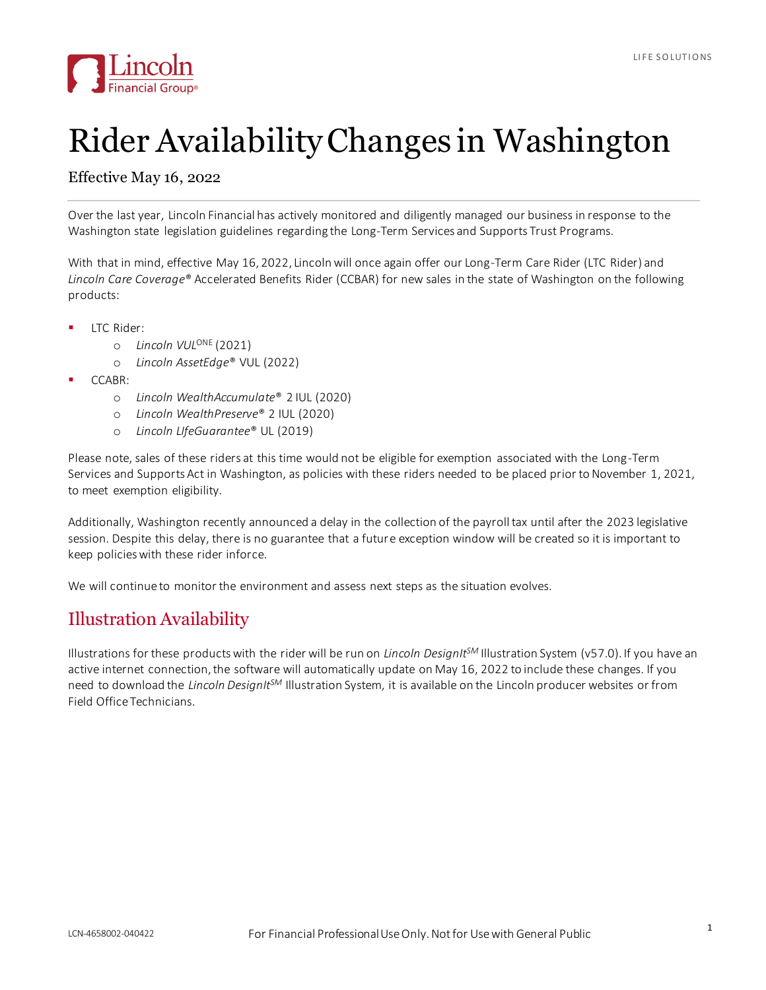

## Rider Availability Changes in Washington

## Effective May 16, 2022

Over the last year, Lincoln Financial has actively monitored and diligently managed our business in response to the Washington state legislation guidelines regarding the Long-Term Services and Supports Trust Programs.

With that in mind, effective May 16, 2022, Lincoln will once again offer our Long-Term Care Rider (LTC Rider) and *Lincoln Care Coverage*® Accelerated Benefits Rider (CCBAR) for new sales in the state of Washington on the following products:

- ITC Rider:
	- o *Lincoln VUL*ONE (2021)
	- o *Lincoln AssetEdge*® VUL (2022)
- CCABR:
	- o *Lincoln WealthAccumulate*® 2 IUL (2020)
	- o *Lincoln WealthPreserve*® 2 IUL (2020)
	- o *Lincoln LIfeGuarantee*® UL (2019)

Please note, sales of these riders at this time would not be eligible for exemption associated with the Long-Term Services and Supports Act in Washington, as policies with these riders needed to be placed prior to November 1, 2021, to meet exemption eligibility.

Additionally, Washington recently announced a delay in the collection of the payroll tax until after the 2023 legislative session. Despite this delay, there is no guarantee that a future exception window will be created so it is important to keep policies with these rider inforce.

We will continue to monitor the environment and assess next steps as the situation evolves.

## Illustration Availability

Illustrations for these products with the rider will be run on *Lincoln DesignItSM* Illustration System (v57.0). If you have an active internet connection, the software will automatically update on May 16, 2022 to include these changes. If you need to download the *Lincoln DesignItSM* Illustration System, it is available on the Lincoln producer websites or from Field Office Technicians.